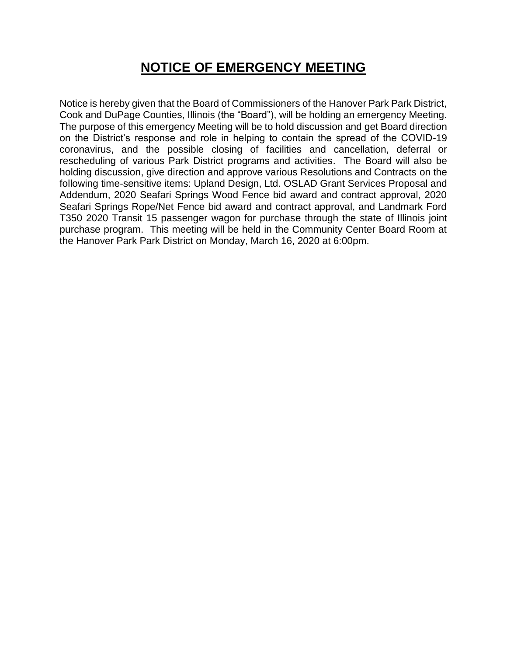## **NOTICE OF EMERGENCY MEETING**

Notice is hereby given that the Board of Commissioners of the Hanover Park Park District, Cook and DuPage Counties, Illinois (the "Board"), will be holding an emergency Meeting. The purpose of this emergency Meeting will be to hold discussion and get Board direction on the District's response and role in helping to contain the spread of the COVID-19 coronavirus, and the possible closing of facilities and cancellation, deferral or rescheduling of various Park District programs and activities. The Board will also be holding discussion, give direction and approve various Resolutions and Contracts on the following time-sensitive items: Upland Design, Ltd. OSLAD Grant Services Proposal and Addendum, 2020 Seafari Springs Wood Fence bid award and contract approval, 2020 Seafari Springs Rope/Net Fence bid award and contract approval, and Landmark Ford T350 2020 Transit 15 passenger wagon for purchase through the state of Illinois joint purchase program. This meeting will be held in the Community Center Board Room at the Hanover Park Park District on Monday, March 16, 2020 at 6:00pm.